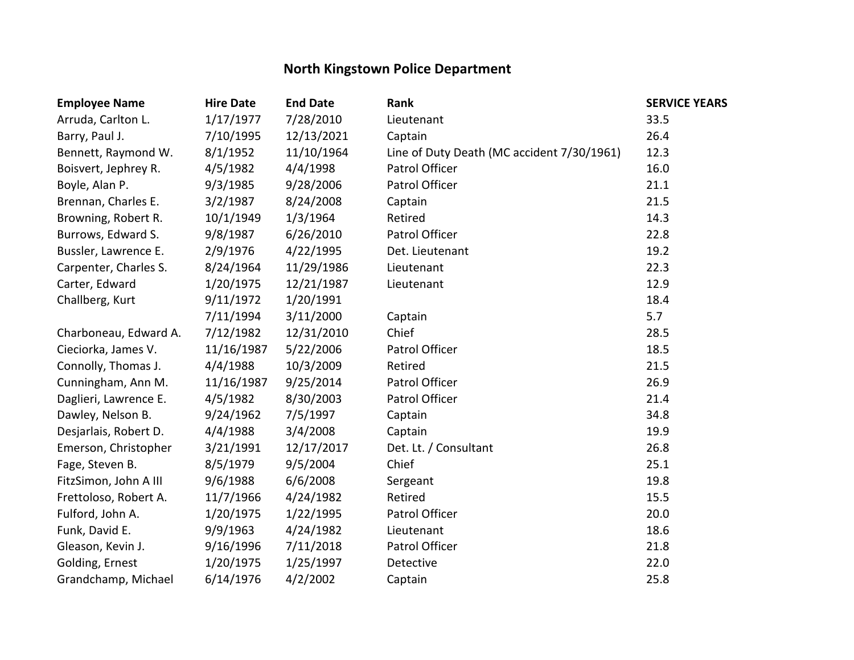## **North Kingstown Police Department**

| <b>Employee Name</b>  | <b>Hire Date</b> | <b>End Date</b> | Rank                                       | <b>SERVICE YEARS</b> |
|-----------------------|------------------|-----------------|--------------------------------------------|----------------------|
| Arruda, Carlton L.    | 1/17/1977        | 7/28/2010       | Lieutenant                                 | 33.5                 |
| Barry, Paul J.        | 7/10/1995        | 12/13/2021      | Captain                                    | 26.4                 |
| Bennett, Raymond W.   | 8/1/1952         | 11/10/1964      | Line of Duty Death (MC accident 7/30/1961) | 12.3                 |
| Boisvert, Jephrey R.  | 4/5/1982         | 4/4/1998        | Patrol Officer                             | 16.0                 |
| Boyle, Alan P.        | 9/3/1985         | 9/28/2006       | Patrol Officer                             | 21.1                 |
| Brennan, Charles E.   | 3/2/1987         | 8/24/2008       | Captain                                    | 21.5                 |
| Browning, Robert R.   | 10/1/1949        | 1/3/1964        | Retired                                    | 14.3                 |
| Burrows, Edward S.    | 9/8/1987         | 6/26/2010       | Patrol Officer                             | 22.8                 |
| Bussler, Lawrence E.  | 2/9/1976         | 4/22/1995       | Det. Lieutenant                            | 19.2                 |
| Carpenter, Charles S. | 8/24/1964        | 11/29/1986      | Lieutenant                                 | 22.3                 |
| Carter, Edward        | 1/20/1975        | 12/21/1987      | Lieutenant                                 | 12.9                 |
| Challberg, Kurt       | 9/11/1972        | 1/20/1991       |                                            | 18.4                 |
|                       | 7/11/1994        | 3/11/2000       | Captain                                    | 5.7                  |
| Charboneau, Edward A. | 7/12/1982        | 12/31/2010      | Chief                                      | 28.5                 |
| Cieciorka, James V.   | 11/16/1987       | 5/22/2006       | Patrol Officer                             | 18.5                 |
| Connolly, Thomas J.   | 4/4/1988         | 10/3/2009       | Retired                                    | 21.5                 |
| Cunningham, Ann M.    | 11/16/1987       | 9/25/2014       | Patrol Officer                             | 26.9                 |
| Daglieri, Lawrence E. | 4/5/1982         | 8/30/2003       | Patrol Officer                             | 21.4                 |
| Dawley, Nelson B.     | 9/24/1962        | 7/5/1997        | Captain                                    | 34.8                 |
| Desjarlais, Robert D. | 4/4/1988         | 3/4/2008        | Captain                                    | 19.9                 |
| Emerson, Christopher  | 3/21/1991        | 12/17/2017      | Det. Lt. / Consultant                      | 26.8                 |
| Fage, Steven B.       | 8/5/1979         | 9/5/2004        | Chief                                      | 25.1                 |
| FitzSimon, John A III | 9/6/1988         | 6/6/2008        | Sergeant                                   | 19.8                 |
| Frettoloso, Robert A. | 11/7/1966        | 4/24/1982       | Retired                                    | 15.5                 |
| Fulford, John A.      | 1/20/1975        | 1/22/1995       | Patrol Officer                             | 20.0                 |
| Funk, David E.        | 9/9/1963         | 4/24/1982       | Lieutenant                                 | 18.6                 |
| Gleason, Kevin J.     | 9/16/1996        | 7/11/2018       | Patrol Officer                             | 21.8                 |
| Golding, Ernest       | 1/20/1975        | 1/25/1997       | Detective                                  | 22.0                 |
| Grandchamp, Michael   | 6/14/1976        | 4/2/2002        | Captain                                    | 25.8                 |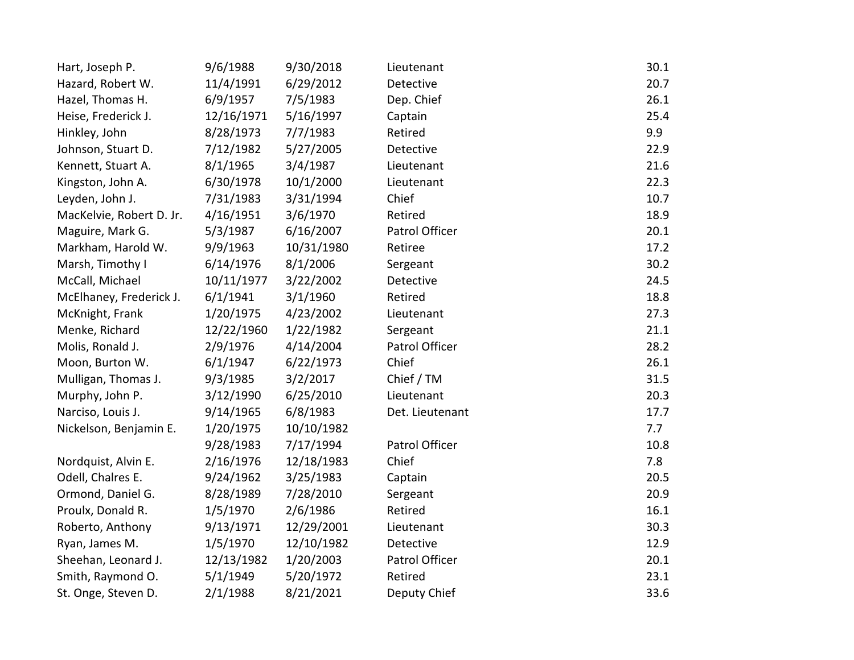| Hart, Joseph P.          | 9/6/1988   | 9/30/2018  | Lieutenant      | 30.1 |
|--------------------------|------------|------------|-----------------|------|
| Hazard, Robert W.        | 11/4/1991  | 6/29/2012  | Detective       | 20.7 |
| Hazel, Thomas H.         | 6/9/1957   | 7/5/1983   | Dep. Chief      | 26.1 |
| Heise, Frederick J.      | 12/16/1971 | 5/16/1997  | Captain         | 25.4 |
| Hinkley, John            | 8/28/1973  | 7/7/1983   | Retired         | 9.9  |
| Johnson, Stuart D.       | 7/12/1982  | 5/27/2005  | Detective       | 22.9 |
| Kennett, Stuart A.       | 8/1/1965   | 3/4/1987   | Lieutenant      | 21.6 |
| Kingston, John A.        | 6/30/1978  | 10/1/2000  | Lieutenant      | 22.3 |
| Leyden, John J.          | 7/31/1983  | 3/31/1994  | Chief           | 10.7 |
| MacKelvie, Robert D. Jr. | 4/16/1951  | 3/6/1970   | Retired         | 18.9 |
| Maguire, Mark G.         | 5/3/1987   | 6/16/2007  | Patrol Officer  | 20.1 |
| Markham, Harold W.       | 9/9/1963   | 10/31/1980 | Retiree         | 17.2 |
| Marsh, Timothy I         | 6/14/1976  | 8/1/2006   | Sergeant        | 30.2 |
| McCall, Michael          | 10/11/1977 | 3/22/2002  | Detective       | 24.5 |
| McElhaney, Frederick J.  | 6/1/1941   | 3/1/1960   | Retired         | 18.8 |
| McKnight, Frank          | 1/20/1975  | 4/23/2002  | Lieutenant      | 27.3 |
| Menke, Richard           | 12/22/1960 | 1/22/1982  | Sergeant        | 21.1 |
| Molis, Ronald J.         | 2/9/1976   | 4/14/2004  | Patrol Officer  | 28.2 |
| Moon, Burton W.          | 6/1/1947   | 6/22/1973  | Chief           | 26.1 |
| Mulligan, Thomas J.      | 9/3/1985   | 3/2/2017   | Chief / TM      | 31.5 |
| Murphy, John P.          | 3/12/1990  | 6/25/2010  | Lieutenant      | 20.3 |
| Narciso, Louis J.        | 9/14/1965  | 6/8/1983   | Det. Lieutenant | 17.7 |
| Nickelson, Benjamin E.   | 1/20/1975  | 10/10/1982 |                 | 7.7  |
|                          | 9/28/1983  | 7/17/1994  | Patrol Officer  | 10.8 |
| Nordquist, Alvin E.      | 2/16/1976  | 12/18/1983 | Chief           | 7.8  |
| Odell, Chalres E.        | 9/24/1962  | 3/25/1983  | Captain         | 20.5 |
| Ormond, Daniel G.        | 8/28/1989  | 7/28/2010  | Sergeant        | 20.9 |
| Proulx, Donald R.        | 1/5/1970   | 2/6/1986   | Retired         | 16.1 |
| Roberto, Anthony         | 9/13/1971  | 12/29/2001 | Lieutenant      | 30.3 |
| Ryan, James M.           | 1/5/1970   | 12/10/1982 | Detective       | 12.9 |
| Sheehan, Leonard J.      | 12/13/1982 | 1/20/2003  | Patrol Officer  | 20.1 |
| Smith, Raymond O.        | 5/1/1949   | 5/20/1972  | Retired         | 23.1 |
| St. Onge, Steven D.      | 2/1/1988   | 8/21/2021  | Deputy Chief    | 33.6 |